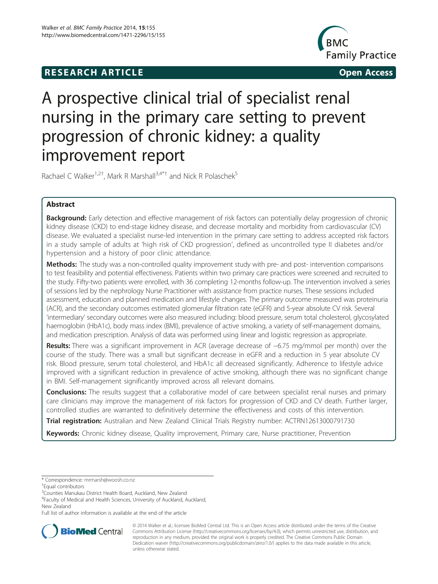# **RESEARCH ARTICLE Example 2014 12:30 The SEAR CHA RESEARCH ARTICLE**



# A prospective clinical trial of specialist renal nursing in the primary care setting to prevent progression of chronic kidney: a quality improvement report

Rachael C Walker<sup>1,2†</sup>, Mark R Marshall<sup>3,4\*†</sup> and Nick R Polaschek<sup>5</sup>

# Abstract

Background: Early detection and effective management of risk factors can potentially delay progression of chronic kidney disease (CKD) to end-stage kidney disease, and decrease mortality and morbidity from cardiovascular (CV) disease. We evaluated a specialist nurse-led intervention in the primary care setting to address accepted risk factors in a study sample of adults at 'high risk of CKD progression', defined as uncontrolled type II diabetes and/or hypertension and a history of poor clinic attendance.

Methods: The study was a non-controlled quality improvement study with pre- and post-intervention comparisons to test feasibility and potential effectiveness. Patients within two primary care practices were screened and recruited to the study. Fifty-two patients were enrolled, with 36 completing 12-months follow-up. The intervention involved a series of sessions led by the nephrology Nurse Practitioner with assistance from practice nurses. These sessions included assessment, education and planned medication and lifestyle changes. The primary outcome measured was proteinuria (ACR), and the secondary outcomes estimated glomerular filtration rate (eGFR) and 5-year absolute CV risk. Several 'intermediary' secondary outcomes were also measured including: blood pressure, serum total cholesterol, glycosylated haemoglobin (HbA1c), body mass index (BMI), prevalence of active smoking, a variety of self-management domains, and medication prescription. Analysis of data was performed using linear and logistic regression as appropriate.

Results: There was a significant improvement in ACR (average decrease of −6.75 mg/mmol per month) over the course of the study. There was a small but significant decrease in eGFR and a reduction in 5 year absolute CV risk. Blood pressure, serum total cholesterol, and HbA1c all decreased significantly. Adherence to lifestyle advice improved with a significant reduction in prevalence of active smoking, although there was no significant change in BMI. Self-management significantly improved across all relevant domains.

**Conclusions:** The results suggest that a collaborative model of care between specialist renal nurses and primary care clinicians may improve the management of risk factors for progression of CKD and CV death. Further larger, controlled studies are warranted to definitively determine the effectiveness and costs of this intervention.

Trial registration: Australian and New Zealand Clinical Trials Registry number: [ACTRN12613000791730](https://www.anzctr.org.au/Trial/Registration/TrialReview.aspx?id=364579)

Keywords: Chronic kidney disease, Quality improvement, Primary care, Nurse practitioner, Prevention

Full list of author information is available at the end of the article



© 2014 Walker et al.; licensee BioMed Central Ltd. This is an Open Access article distributed under the terms of the Creative Commons Attribution License [\(http://creativecommons.org/licenses/by/4.0\)](http://creativecommons.org/licenses/by/4.0), which permits unrestricted use, distribution, and reproduction in any medium, provided the original work is properly credited. The Creative Commons Public Domain Dedication waiver [\(http://creativecommons.org/publicdomain/zero/1.0/](http://creativecommons.org/publicdomain/zero/1.0/)) applies to the data made available in this article, unless otherwise stated.

<sup>\*</sup> Correspondence: [mrmarsh@woosh.co.nz](mailto:mrmarsh@woosh.co.nz) †

Equal contributors

<sup>&</sup>lt;sup>3</sup>Counties Manukau District Health Board, Auckland, New Zealand

<sup>&</sup>lt;sup>4</sup> Faculty of Medical and Health Sciences, University of Auckland, Auckland, New Zealand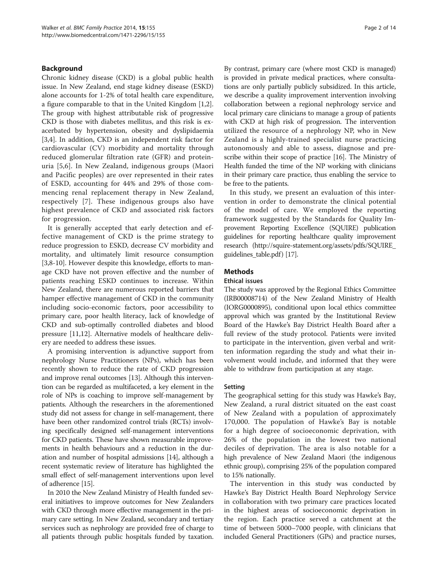# Background

Chronic kidney disease (CKD) is a global public health issue. In New Zealand, end stage kidney disease (ESKD) alone accounts for 1-2% of total health care expenditure, a figure comparable to that in the United Kingdom [\[1,2](#page-12-0)]. The group with highest attributable risk of progressive CKD is those with diabetes mellitus, and this risk is exacerbated by hypertension, obesity and dyslipidaemia [[3,4\]](#page-12-0). In addition, CKD is an independent risk factor for cardiovascular (CV) morbidity and mortality through reduced glomerular filtration rate (GFR) and proteinuria [[5,6](#page-12-0)]. In New Zealand, indigenous groups (Maori and Pacific peoples) are over represented in their rates of ESKD, accounting for 44% and 29% of those commencing renal replacement therapy in New Zealand, respectively [\[7](#page-12-0)]. These indigenous groups also have highest prevalence of CKD and associated risk factors for progression.

It is generally accepted that early detection and effective management of CKD is the prime strategy to reduce progression to ESKD, decrease CV morbidity and mortality, and ultimately limit resource consumption [[3,](#page-12-0)[8-10](#page-13-0)]. However despite this knowledge, efforts to manage CKD have not proven effective and the number of patients reaching ESKD continues to increase. Within New Zealand, there are numerous reported barriers that hamper effective management of CKD in the community including socio-economic factors, poor accessibility to primary care, poor health literacy, lack of knowledge of CKD and sub-optimally controlled diabetes and blood pressure [[11,12\]](#page-13-0). Alternative models of healthcare delivery are needed to address these issues.

A promising intervention is adjunctive support from nephrology Nurse Practitioners (NPs), which has been recently shown to reduce the rate of CKD progression and improve renal outcomes [\[13\]](#page-13-0). Although this intervention can be regarded as multifaceted, a key element in the role of NPs is coaching to improve self-management by patients. Although the researchers in the aforementioned study did not assess for change in self-management, there have been other randomized control trials (RCTs) involving specifically designed self-management interventions for CKD patients. These have shown measurable improvements in health behaviours and a reduction in the duration and number of hospital admissions [[14](#page-13-0)], although a recent systematic review of literature has highlighted the small effect of self-management interventions upon level of adherence [[15](#page-13-0)].

In 2010 the New Zealand Ministry of Health funded several initiatives to improve outcomes for New Zealanders with CKD through more effective management in the primary care setting. In New Zealand, secondary and tertiary services such as nephrology are provided free of charge to all patients through public hospitals funded by taxation. By contrast, primary care (where most CKD is managed) is provided in private medical practices, where consultations are only partially publicly subsidized. In this article, we describe a quality improvement intervention involving collaboration between a regional nephrology service and local primary care clinicians to manage a group of patients with CKD at high risk of progression. The intervention utilized the resource of a nephrology NP, who in New Zealand is a highly-trained specialist nurse practicing autonomously and able to assess, diagnose and prescribe within their scope of practice [\[16\]](#page-13-0). The Ministry of Health funded the time of the NP working with clinicians in their primary care practice, thus enabling the service to be free to the patients.

In this study, we present an evaluation of this intervention in order to demonstrate the clinical potential of the model of care. We employed the reporting framework suggested by the Standards for Quality Improvement Reporting Excellence (SQUIRE) publication guidelines for reporting healthcare quality improvement research [\(http://squire-statement.org/assets/pdfs/SQUIRE\\_](http://squire-statement.org/assets/pdfs/SQUIRE_guidelines_table.pdf) [guidelines\\_table.pdf](http://squire-statement.org/assets/pdfs/SQUIRE_guidelines_table.pdf) ) [\[17\]](#page-13-0).

# **Methods**

# Ethical issues

The study was approved by the Regional Ethics Committee (IRB00008714) of the New Zealand Ministry of Health (IORG0000895), conditional upon local ethics committee approval which was granted by the Institutional Review Board of the Hawke's Bay District Health Board after a full review of the study protocol. Patients were invited to participate in the intervention, given verbal and written information regarding the study and what their involvement would include, and informed that they were able to withdraw from participation at any stage.

# Setting

The geographical setting for this study was Hawke's Bay, New Zealand, a rural district situated on the east coast of New Zealand with a population of approximately 170,000. The population of Hawke's Bay is notable for a high degree of socioeconomic deprivation, with 26% of the population in the lowest two national deciles of deprivation. The area is also notable for a high prevalence of New Zealand Maori (the indigenous ethnic group), comprising 25% of the population compared to 15% nationally.

The intervention in this study was conducted by Hawke's Bay District Health Board Nephrology Service in collaboration with two primary care practices located in the highest areas of socioeconomic deprivation in the region. Each practice served a catchment at the time of between 5000–7000 people, with clinicians that included General Practitioners (GPs) and practice nurses,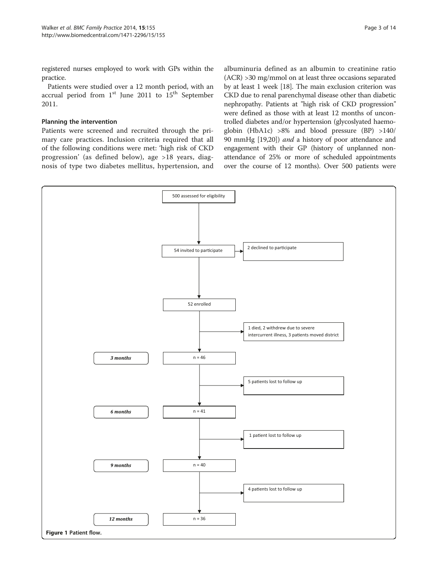<span id="page-2-0"></span>registered nurses employed to work with GPs within the practice.

Patients were studied over a 12 month period, with an accrual period from  $1<sup>st</sup>$  June 2011 to  $15<sup>th</sup>$  September 2011.

# Planning the intervention

Patients were screened and recruited through the primary care practices. Inclusion criteria required that all of the following conditions were met: 'high risk of CKD progression' (as defined below), age >18 years, diagnosis of type two diabetes mellitus, hypertension, and albuminuria defined as an albumin to creatinine ratio (ACR) >30 mg/mmol on at least three occasions separated by at least 1 week [\[18](#page-13-0)]. The main exclusion criterion was CKD due to renal parenchymal disease other than diabetic nephropathy. Patients at "high risk of CKD progression" were defined as those with at least 12 months of uncontrolled diabetes and/or hypertension (glycoslyated haemoglobin (HbA1c) >8% and blood pressure (BP) >140/ 90 mmHg [\[19,20](#page-13-0)]) and a history of poor attendance and engagement with their GP (history of unplanned nonattendance of 25% or more of scheduled appointments over the course of 12 months). Over 500 patients were

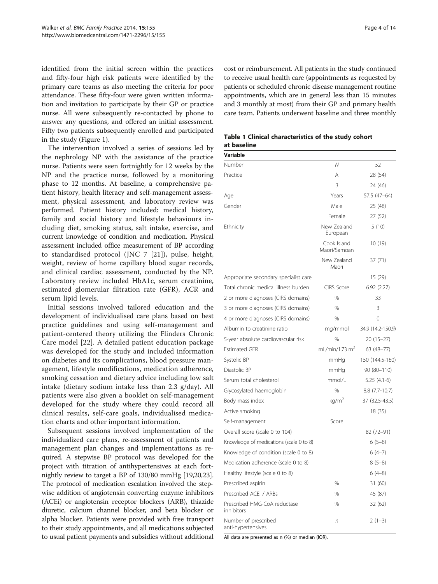<span id="page-3-0"></span>identified from the initial screen within the practices and fifty-four high risk patients were identified by the primary care teams as also meeting the criteria for poor attendance. These fifty-four were given written information and invitation to participate by their GP or practice nurse. All were subsequently re-contacted by phone to answer any questions, and offered an initial assessment. Fifty two patients subsequently enrolled and participated in the study (Figure [1\)](#page-2-0).

The intervention involved a series of sessions led by the nephrology NP with the assistance of the practice nurse. Patients were seen fortnightly for 12 weeks by the NP and the practice nurse, followed by a monitoring phase to 12 months. At baseline, a comprehensive patient history, health literacy and self-management assessment, physical assessment, and laboratory review was performed. Patient history included: medical history, family and social history and lifestyle behaviours including diet, smoking status, salt intake, exercise, and current knowledge of condition and medication. Physical assessment included office measurement of BP according to standardised protocol (JNC 7 [[21\]](#page-13-0)), pulse, height, weight, review of home capillary blood sugar records, and clinical cardiac assessment, conducted by the NP. Laboratory review included HbA1c, serum creatinine, estimated glomerular filtration rate (GFR), ACR and serum lipid levels.

Initial sessions involved tailored education and the development of individualised care plans based on best practice guidelines and using self-management and patient-centered theory utilizing the Flinders Chronic Care model [[22](#page-13-0)]. A detailed patient education package was developed for the study and included information on diabetes and its complications, blood pressure management, lifestyle modifications, medication adherence, smoking cessation and dietary advice including low salt intake (dietary sodium intake less than 2.3 g/day). All patients were also given a booklet on self-management developed for the study where they could record all clinical results, self-care goals, individualised medication charts and other important information.

Subsequent sessions involved implementation of the individualized care plans, re-assessment of patients and management plan changes and implementations as required. A stepwise BP protocol was developed for the project with titration of antihypertensives at each fortnightly review to target a BP of 130/80 mmHg [\[19,20,23](#page-13-0)]. The protocol of medication escalation involved the stepwise addition of angiotensin converting enzyme inhibitors (ACEi) or angiotensin receptor blockers (ARB), thiazide diuretic, calcium channel blocker, and beta blocker or alpha blocker. Patients were provided with free transport to their study appointments, and all medications subjected to usual patient payments and subsidies without additional

cost or reimbursement. All patients in the study continued to receive usual health care (appointments as requested by patients or scheduled chronic disease management routine appointments, which are in general less than 15 minutes and 3 monthly at most) from their GP and primary health care team. Patients underwent baseline and three monthly

|             | Table 1 Clinical characteristics of the study cohort |  |  |
|-------------|------------------------------------------------------|--|--|
| at baseline |                                                      |  |  |

| Variable                                   |                             |                   |  |
|--------------------------------------------|-----------------------------|-------------------|--|
| Number                                     | Ν                           | 52                |  |
| Practice                                   | A                           | 28 (54)           |  |
|                                            | B                           | 24 (46)           |  |
| Age                                        | Years                       | 57.5 (47-64)      |  |
| Gender                                     | Male                        | 25 (48)           |  |
|                                            | Female                      | 27 (52)           |  |
| Ethnicity                                  | New Zealand<br>European     | 5(10)             |  |
|                                            | Cook Island<br>Maori/Samoan | 10 (19)           |  |
|                                            | New Zealand<br>Maori        | 37 (71)           |  |
| Appropriate secondary specialist care      |                             | 15 (29)           |  |
| Total chronic medical illness burden       | CIRS Score                  | 6.92(2.27)        |  |
| 2 or more diagnoses (CIRS domains)         | $\frac{0}{0}$               | 33                |  |
| 3 or more diagnoses (CIRS domains)         | $\frac{0}{0}$               | 3                 |  |
| 4 or more diagnoses (CIRS domains)         | $\frac{0}{0}$               | $\Omega$          |  |
| Albumin to creatinine ratio                | mg/mmol                     | 34.9 (14.2-150.9) |  |
| 5-year absolute cardiovascular risk        | $\frac{0}{0}$               | $20(15-27)$       |  |
| <b>Estimated GFR</b>                       | mL/min/1.73 m <sup>2</sup>  | 63 (48-77)        |  |
| Systolic BP                                | mmHq                        | 150 (144.5-160)   |  |
| Diastolic BP                               | mmHq                        | 90 (80-110)       |  |
| Serum total cholesterol                    | mmol/L                      | $5.25(4.1-6)$     |  |
| Glycosylated haemoglobin                   | $\frac{0}{0}$               | 8.8 (7.7-10.7)    |  |
| Body mass index                            | $\text{kg/m}^2$             | 37 (32.5-43.5)    |  |
| Active smoking                             |                             | 18 (35)           |  |
| Self-management                            | Score                       |                   |  |
| Overall score (scale 0 to 104)             |                             | 82 (72-91)        |  |
| Knowledge of medications (scale 0 to 8)    |                             | $6(5-8)$          |  |
| Knowledge of condition (scale 0 to 8)      |                             | $6(4-7)$          |  |
| Medication adherence (scale 0 to 8)        |                             | $8(5-8)$          |  |
| Healthy lifestyle (scale 0 to 8)           |                             | $6(4-8)$          |  |
| Prescribed aspirin                         | $\frac{0}{0}$               | 31 (60)           |  |
| Prescribed ACFi / ARBs                     | $\%$                        | 45 (87)           |  |
| Prescribed HMG-CoA reductase<br>inhibitors | $\frac{0}{0}$               | 32 (62)           |  |
| Number of prescribed<br>anti-hypertensives | n                           | $2(1-3)$          |  |

All data are presented as n (%) or median (IQR).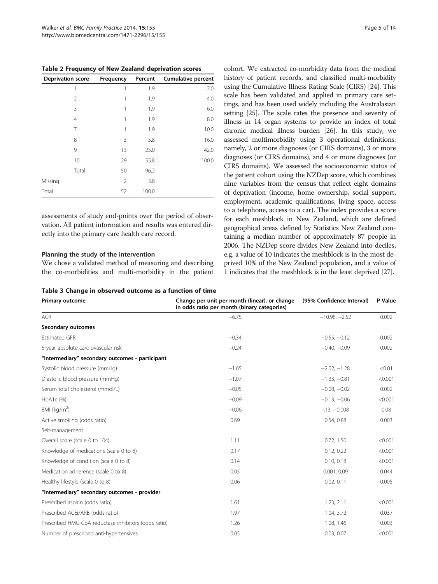<span id="page-4-0"></span>Table 2 Frequency of New Zealand deprivation scores

| <b>Deprivation score</b> | Frequency | Percent | <b>Cumulative percent</b> |
|--------------------------|-----------|---------|---------------------------|
| 1                        | 1         | 1.9     | 2.0                       |
| 2                        |           | 1.9     | 4.0                       |
| 3                        |           | 1.9     | 6.0                       |
| 4                        |           | 1.9     | 8.0                       |
| 7                        | 1         | 1.9     | 10.0                      |
| 8                        | 3         | 5.8     | 16.0                      |
| 9                        | 13        | 25.0    | 42.0                      |
| 10                       | 29        | 55.8    | 100.0                     |
| Total                    | 50        | 96.2    |                           |
| Missing                  | 2         | 3.8     |                           |
| Total                    | 52        | 100.0   |                           |

assessments of study end-points over the period of observation. All patient information and results was entered directly into the primary care health care record.

# Planning the study of the intervention

We chose a validated method of measuring and describing the co-morbidities and multi-morbidity in the patient

cohort. We extracted co-morbidity data from the medical history of patient records, and classified multi-morbidity using the Cumulative Illness Rating Scale (CIRS) [[24](#page-13-0)]. This scale has been validated and applied in primary care settings, and has been used widely including the Australasian setting [\[25\]](#page-13-0). The scale rates the presence and severity of illness in 14 organ systems to provide an index of total chronic medical illness burden [[26](#page-13-0)]. In this study, we assessed multimorbidity using 3 operational definitions: namely, 2 or more diagnoses (or CIRS domains), 3 or more diagnoses (or CIRS domains), and 4 or more diagnoses (or CIRS domains). We assessed the socioeconomic status of the patient cohort using the NZDep score, which combines nine variables from the census that reflect eight domains of deprivation (income, home ownership, social support, employment, academic qualifications, living space, access to a telephone, access to a car). The index provides a score for each meshblock in New Zealand, which are defined geographical areas defined by Statistics New Zealand containing a median number of approximately 87 people in 2006. The NZDep score divides New Zealand into deciles, e.g. a value of 10 indicates the meshblock is in the most deprived 10% of the New Zealand population, and a value of 1 indicates that the meshblock is in the least deprived [[27](#page-13-0)].

Table 3 Change in observed outcome as a function of time

| <b>Primary outcome</b>                               | Change per unit per month (linear), or change<br>in odds ratio per month (binary categories) | (95% Confidence Interval) | P Value |
|------------------------------------------------------|----------------------------------------------------------------------------------------------|---------------------------|---------|
| <b>ACR</b>                                           | $-6.75$                                                                                      | $-10.98, -2.52$           | 0.002   |
| Secondary outcomes                                   |                                                                                              |                           |         |
| <b>Estimated GFR</b>                                 | $-0.34$                                                                                      | $-0.55, -0.12$            | 0.002   |
| 5-year absolute cardiovascular risk                  | $-0.24$                                                                                      | $-0.40, -0.09$            | 0.002   |
| "Intermediary" secondary outcomes - participant      |                                                                                              |                           |         |
| Systolic blood pressure (mmHg)                       | $-1.65$                                                                                      | $-2.02, -1.28$            | < 0.01  |
| Diastolic blood pressure (mmHg)                      | $-1.07$                                                                                      | $-1.33, -0.81$            | < 0.001 |
| Serum total cholesterol (mmol/L)                     | $-0.05$                                                                                      | $-0.08, -0.02$            | 0.002   |
| HbA1c (%)                                            | $-0.09$                                                                                      | $-0.13, -0.06$            | < 0.001 |
| BMI ( $kg/m2$ )                                      | $-0.06$                                                                                      | $-13, -0.008$             | 0.08    |
| Active smoking (odds ratio)                          | 0.69                                                                                         | 0.54, 0.88                | 0.003   |
| Self-management                                      |                                                                                              |                           |         |
| Overall score (scale 0 to 104)                       | 1.11                                                                                         | 0.72, 1.50                | < 0.001 |
| Knowledge of medications (scale 0 to 8)              | 0.17                                                                                         | 0.12, 0.22                | < 0.001 |
| Knowledge of condition (scale 0 to 8)                | 0.14                                                                                         | 0.10, 0.18                | < 0.001 |
| Medication adherence (scale 0 to 8)                  | 0.05                                                                                         | 0.001, 0.09               | 0.044   |
| Healthy lifestyle (scale 0 to 8)                     | 0.06                                                                                         | 0.02, 0.11                | 0.005   |
| "Intermediary" secondary outcomes - provider         |                                                                                              |                           |         |
| Prescribed aspirin (odds ratio)                      | 1.61                                                                                         | 1.23, 2.11                | < 0.001 |
| Prescribed ACEI/ARB (odds ratio)                     | 1.97                                                                                         | 1.04, 3.72                | 0.037   |
| Prescribed HMG-CoA reductase inhibitors (odds ratio) | 1.26                                                                                         | 1.08, 1.46                | 0.003   |
| Number of prescribed anti-hypertensives              | 0.05                                                                                         | 0.03, 0.07                | < 0.001 |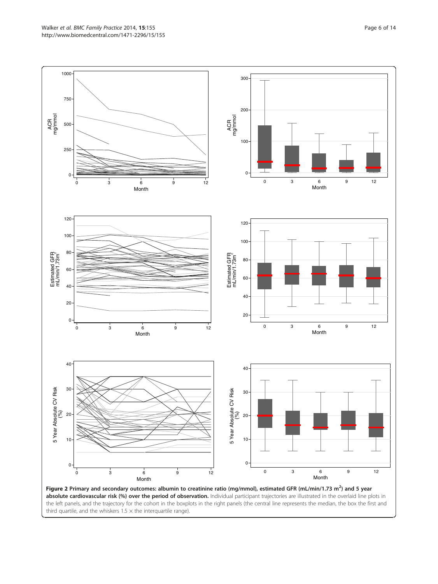<span id="page-5-0"></span>

absolute cardiovascular risk (%) over the period of observation. Individual participant trajectories are illustrated in the overlaid line plots in the left panels, and the trajectory for the cohort in the boxplots in the right panels (the central line represents the median, the box the first and third quartile, and the whiskers  $1.5 \times$  the interquartile range).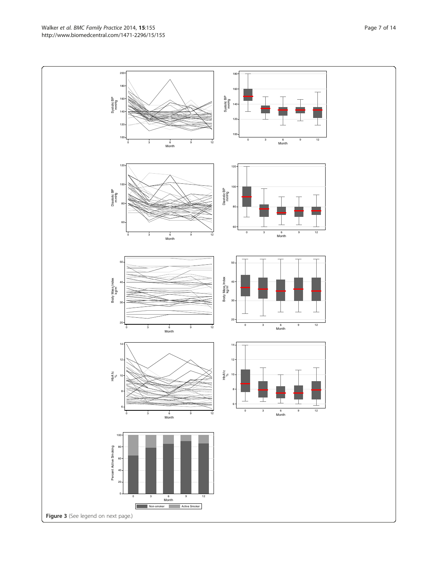Walker et al. BMC Family Practice 2014, 15:155 Page 7 of 14 http://www.biomedcentral.com/1471-2296/15/155

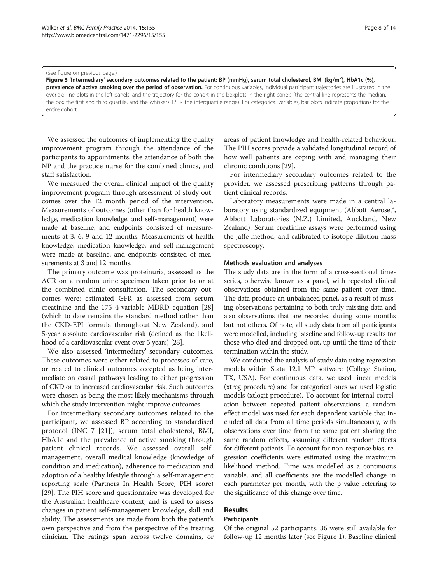#### <span id="page-7-0"></span>(See figure on previous page.)

Figure 3 'Intermediary' secondary outcomes related to the patient: BP (mmHg), serum total cholesterol, BMI (kg/m<sup>2</sup>), HbA1c (%), prevalence of active smoking over the period of observation. For continuous variables, individual participant trajectories are illustrated in the overlaid line plots in the left panels, and the trajectory for the cohort in the boxplots in the right panels (the central line represents the median, the box the first and third quartile, and the whiskers  $1.5 \times$  the interquartile range). For categorical variables, bar plots indicate proportions for the entire cohort.

We assessed the outcomes of implementing the quality improvement program through the attendance of the participants to appointments, the attendance of both the NP and the practice nurse for the combined clinics, and staff satisfaction.

We measured the overall clinical impact of the quality improvement program through assessment of study outcomes over the 12 month period of the intervention. Measurements of outcomes (other than for health knowledge, medication knowledge, and self-management) were made at baseline, and endpoints consisted of measurements at 3, 6, 9 and 12 months. Measurements of health knowledge, medication knowledge, and self-management were made at baseline, and endpoints consisted of measurements at 3 and 12 months.

The primary outcome was proteinuria, assessed as the ACR on a random urine specimen taken prior to or at the combined clinic consultation. The secondary outcomes were: estimated GFR as assessed from serum creatinine and the 175 4-variable MDRD equation [[28](#page-13-0)] (which to date remains the standard method rather than the CKD-EPI formula throughout New Zealand), and 5-year absolute cardiovascular risk (defined as the likelihood of a cardiovascular event over 5 years) [\[23\]](#page-13-0).

We also assessed 'intermediary' secondary outcomes. These outcomes were either related to processes of care, or related to clinical outcomes accepted as being intermediate on casual pathways leading to either progression of CKD or to increased cardiovascular risk. Such outcomes were chosen as being the most likely mechanisms through which the study intervention might improve outcomes.

For intermediary secondary outcomes related to the participant, we assessed BP according to standardised protocol (JNC 7 [[21](#page-13-0)]), serum total cholesterol, BMI, HbA1c and the prevalence of active smoking through patient clinical records. We assessed overall selfmanagement, overall medical knowledge (knowledge of condition and medication), adherence to medication and adoption of a healthy lifestyle through a self-management reporting scale (Partners In Health Score, PIH score) [[29\]](#page-13-0). The PIH score and questionnaire was developed for the Australian healthcare context, and is used to assess changes in patient self-management knowledge, skill and ability. The assessments are made from both the patient's own perspective and from the perspective of the treating clinician. The ratings span across twelve domains, or

areas of patient knowledge and health-related behaviour. The PIH scores provide a validated longitudinal record of how well patients are coping with and managing their chronic conditions [[29](#page-13-0)].

For intermediary secondary outcomes related to the provider, we assessed prescribing patterns through patient clinical records.

Laboratory measurements were made in a central laboratory using standardized equipment (Abbott Aeroset®, Abbott Laboratories (N.Z.) Limited, Auckland, New Zealand). Serum creatinine assays were performed using the Jaffe method, and calibrated to isotope dilution mass spectroscopy.

#### Methods evaluation and analyses

The study data are in the form of a cross-sectional timeseries, otherwise known as a panel, with repeated clinical observations obtained from the same patient over time. The data produce an unbalanced panel, as a result of missing observations pertaining to both truly missing data and also observations that are recorded during some months but not others. Of note, all study data from all participants were modelled, including baseline and follow-up results for those who died and dropped out, up until the time of their termination within the study.

We conducted the analysis of study data using regression models within Stata 12.1 MP software (College Station, TX, USA). For continuous data, we used linear models (xtreg procedure) and for categorical ones we used logistic models (xtlogit procedure). To account for internal correlation between repeated patient observations, a random effect model was used for each dependent variable that included all data from all time periods simultaneously, with observations over time from the same patient sharing the same random effects, assuming different random effects for different patients. To account for non-response bias, regression coefficients were estimated using the maximum likelihood method. Time was modelled as a continuous variable, and all coefficients are the modelled change in each parameter per month, with the p value referring to the significance of this change over time.

# Results

# **Participants**

Of the original 52 participants, 36 were still available for follow-up 12 months later (see Figure [1](#page-2-0)). Baseline clinical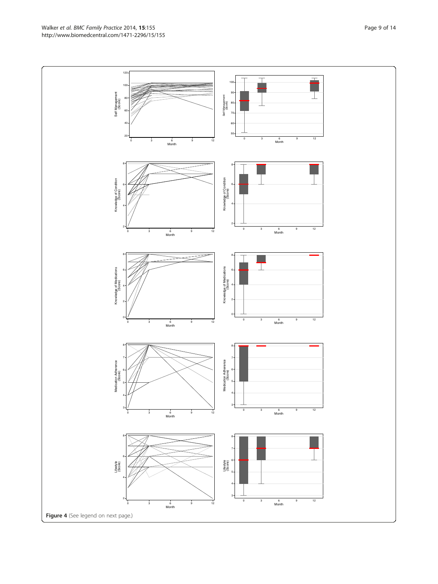Figure 4 (See legend on next page.)

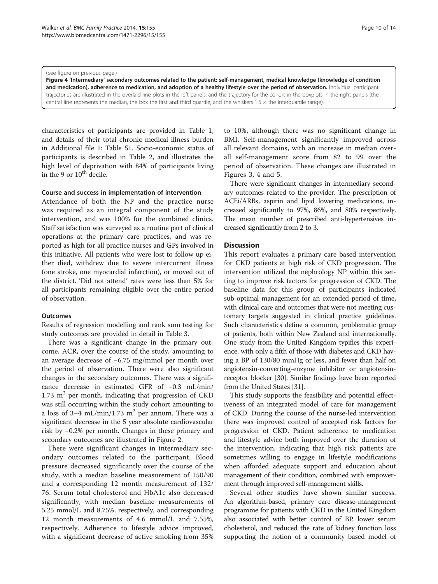#### (See figure on previous page.)

Figure 4 'Intermediary' secondary outcomes related to the patient: self-management, medical knowledge (knowledge of condition and medication), adherence to medication, and adoption of a healthy lifestyle over the period of observation. Individual participant trajectories are illustrated in the overlaid line plots in the left panels, and the trajectory for the cohort in the boxplots in the right panels (the central line represents the median, the box the first and third quartile, and the whiskers  $1.5 \times$  the interquartile range).

characteristics of participants are provided in Table [1](#page-3-0), and details of their total chronic medical illness burden in Additional file [1](#page-12-0): Table S1. Socio-economic status of participants is described in Table [2](#page-4-0), and illustrates the high level of deprivation with 84% of participants living in the 9 or  $10<sup>th</sup>$  decile.

#### Course and success in implementation of intervention

Attendance of both the NP and the practice nurse was required as an integral component of the study intervention, and was 100% for the combined clinics. Staff satisfaction was surveyed as a routine part of clinical operations at the primary care practices, and was reported as high for all practice nurses and GPs involved in this initiative. All patients who were lost to follow up either died, withdrew due to severe intercurrent illness (one stroke, one myocardial infarction), or moved out of the district. 'Did not attend' rates were less than 5% for all participants remaining eligible over the entire period of observation.

### **Outcomes**

Results of regression modelling and rank sum testing for study outcomes are provided in detail in Table [3](#page-4-0).

There was a significant change in the primary outcome, ACR, over the course of the study, amounting to an average decrease of −6.75 mg/mmol per month over the period of observation. There were also significant changes in the secondary outcomes. There was a significance decrease in estimated GFR of −0.3 mL/min/  $1.73$  m<sup>2</sup> per month, indicating that progression of CKD was still occurring within the study cohort amounting to a loss of 3–4 mL/min/1.73 m<sup>2</sup> per annum. There was a significant decrease in the 5 year absolute cardiovascular risk by −0.2% per month. Changes in these primary and secondary outcomes are illustrated in Figure [2.](#page-5-0)

There were significant changes in intermediary secondary outcomes related to the participant. Blood pressure decreased significantly over the course of the study, with a median baseline measurement of 150/90 and a corresponding 12 month measurement of 132/ 76. Serum total cholesterol and HbA1c also decreased significantly, with median baseline measurements of 5.25 mmol/L and 8.75%, respectively, and corresponding 12 month measurements of 4.6 mmol/L and 7.55%, respectively. Adherence to lifestyle advice improved, with a significant decrease of active smoking from 35% to 10%, although there was no significant change in BMI. Self-management significantly improved across

all relevant domains, with an increase in median overall self-management score from 82 to 99 over the period of observation. These changes are illustrated in Figures [3](#page-7-0), 4 and [5](#page-10-0). There were significant changes in intermediary second-

ary outcomes related to the provider. The prescription of ACEi/ARBs, aspirin and lipid lowering medications, increased significantly to 97%, 86%, and 80% respectively. The mean number of prescribed anti-hypertensives increased significantly from 2 to 3.

# **Discussion**

This report evaluates a primary care based intervention for CKD patients at high risk of CKD progression. The intervention utilized the nephrology NP within this setting to improve risk factors for progression of CKD. The baseline data for this group of participants indicated sub-optimal management for an extended period of time, with clinical care and outcomes that were not meeting customary targets suggested in clinical practice guidelines. Such characteristics define a common, problematic group of patients, both within New Zealand and internationally. One study from the United Kingdom typifies this experience, with only a fifth of those with diabetes and CKD having a BP of 130/80 mmHg or less, and fewer than half on angiotensin-converting-enzyme inhibitor or angiotensinreceptor blocker [[30](#page-13-0)]. Similar findings have been reported from the United States [\[31\]](#page-13-0).

This study supports the feasibility and potential effectiveness of an integrated model of care for management of CKD. During the course of the nurse-led intervention there was improved control of accepted risk factors for progression of CKD. Patient adherence to medication and lifestyle advice both improved over the duration of the intervention, indicating that high risk patients are sometimes willing to engage in lifestyle modifications when afforded adequate support and education about management of their condition, combined with empowerment through improved self-management skills.

Several other studies have shown similar success. An algorithm-based, primary care disease-management programme for patients with CKD in the United Kingdom also associated with better control of BP, lower serum cholesterol, and reduced the rate of kidney function loss supporting the notion of a community based model of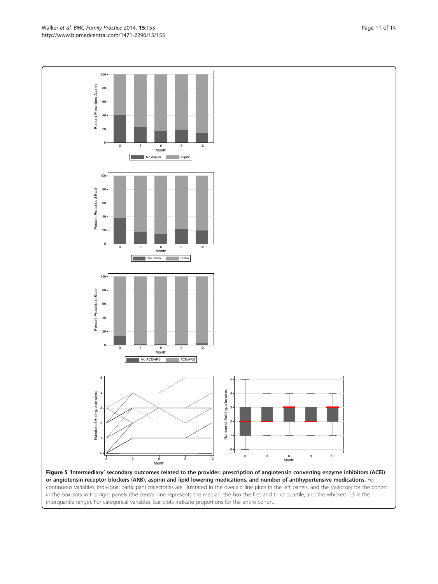<span id="page-10-0"></span>

continuous variables, individual participant trajectories are illustrated in the overlaid line plots in the left panels, and the trajectory for the cohort in the boxplots in the right panels (the central line represents the median, the box the first and third quartile, and the whiskers  $1.5 \times$  the interquartile range). For categorical variables, bar plots indicate proportions for the entire cohort.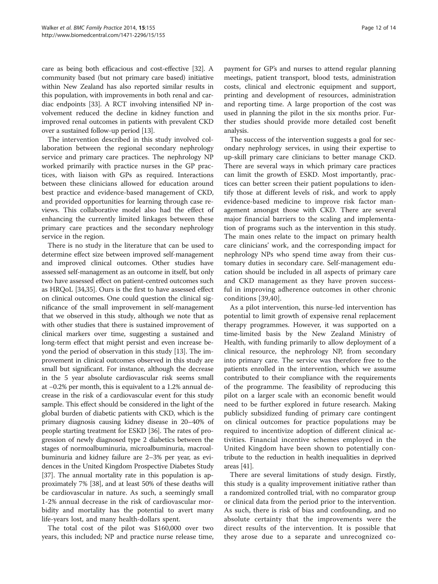care as being both efficacious and cost-effective [\[32](#page-13-0)]. A community based (but not primary care based) initiative within New Zealand has also reported similar results in this population, with improvements in both renal and cardiac endpoints [[33](#page-13-0)]. A RCT involving intensified NP involvement reduced the decline in kidney function and improved renal outcomes in patients with prevalent CKD over a sustained follow-up period [[13](#page-13-0)].

The intervention described in this study involved collaboration between the regional secondary nephrology service and primary care practices. The nephrology NP worked primarily with practice nurses in the GP practices, with liaison with GPs as required. Interactions between these clinicians allowed for education around best practice and evidence-based management of CKD, and provided opportunities for learning through case reviews. This collaborative model also had the effect of enhancing the currently limited linkages between these primary care practices and the secondary nephrology service in the region.

There is no study in the literature that can be used to determine effect size between improved self-management and improved clinical outcomes. Other studies have assessed self-management as an outcome in itself, but only two have assessed effect on patient-centred outcomes such as HRQoL [\[34,35](#page-13-0)]. Ours is the first to have assessed effect on clinical outcomes. One could question the clinical significance of the small improvement in self-management that we observed in this study, although we note that as with other studies that there is sustained improvement of clinical markers over time, suggesting a sustained and long-term effect that might persist and even increase beyond the period of observation in this study [[13](#page-13-0)]. The improvement in clinical outcomes observed in this study are small but significant. For instance, although the decrease in the 5 year absolute cardiovascular risk seems small at −0.2% per month, this is equivalent to a 1.2% annual decrease in the risk of a cardiovascular event for this study sample. This effect should be considered in the light of the global burden of diabetic patients with CKD, which is the primary diagnosis causing kidney disease in 20–40% of people starting treatment for ESKD [[36](#page-13-0)]. The rates of progression of newly diagnosed type 2 diabetics between the stages of normoalbuminuria, microalbuminuria, macroalbuminuria and kidney failure are 2–3% per year, as evidences in the United Kingdom Prospective Diabetes Study [[37](#page-13-0)]. The annual mortality rate in this population is approximately 7% [\[38\]](#page-13-0), and at least 50% of these deaths will be cardiovascular in nature. As such, a seemingly small 1-2% annual decrease in the risk of cardiovascular morbidity and mortality has the potential to avert many life-years lost, and many health-dollars spent.

The total cost of the pilot was \$160,000 over two years, this included; NP and practice nurse release time,

payment for GP's and nurses to attend regular planning meetings, patient transport, blood tests, administration costs, clinical and electronic equipment and support, printing and development of resources, administration and reporting time. A large proportion of the cost was used in planning the pilot in the six months prior. Further studies should provide more detailed cost benefit analysis.

The success of the intervention suggests a goal for secondary nephrology services, in using their expertise to up-skill primary care clinicians to better manage CKD. There are several ways in which primary care practices can limit the growth of ESKD. Most importantly, practices can better screen their patient populations to identify those at different levels of risk, and work to apply evidence-based medicine to improve risk factor management amongst those with CKD. There are several major financial barriers to the scaling and implementation of programs such as the intervention in this study. The main ones relate to the impact on primary health care clinicians' work, and the corresponding impact for nephrology NPs who spend time away from their customary duties in secondary care. Self-management education should be included in all aspects of primary care and CKD management as they have proven successful in improving adherence outcomes in other chronic conditions [[39,40](#page-13-0)].

As a pilot intervention, this nurse-led intervention has potential to limit growth of expensive renal replacement therapy programmes. However, it was supported on a time-limited basis by the New Zealand Ministry of Health, with funding primarily to allow deployment of a clinical resource, the nephrology NP, from secondary into primary care. The service was therefore free to the patients enrolled in the intervention, which we assume contributed to their compliance with the requirements of the programme. The feasibility of reproducing this pilot on a larger scale with an economic benefit would need to be further explored in future research. Making publicly subsidized funding of primary care contingent on clinical outcomes for practice populations may be required to incentivize adoption of different clinical activities. Financial incentive schemes employed in the United Kingdom have been shown to potentially contribute to the reduction in health inequalities in deprived areas [\[41\]](#page-13-0).

There are several limitations of study design. Firstly, this study is a quality improvement initiative rather than a randomized controlled trial, with no comparator group or clinical data from the period prior to the intervention. As such, there is risk of bias and confounding, and no absolute certainty that the improvements were the direct results of the intervention. It is possible that they arose due to a separate and unrecognized co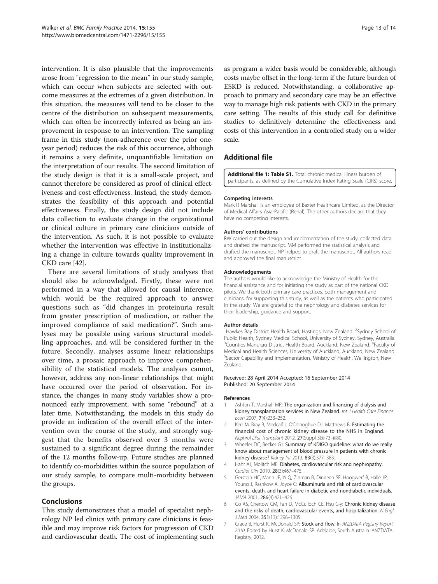<span id="page-12-0"></span>intervention. It is also plausible that the improvements arose from "regression to the mean" in our study sample, which can occur when subjects are selected with outcome measures at the extremes of a given distribution. In this situation, the measures will tend to be closer to the centre of the distribution on subsequent measurements, which can often be incorrectly inferred as being an improvement in response to an intervention. The sampling frame in this study (non-adherence over the prior oneyear period) reduces the risk of this occurrence, although it remains a very definite, unquantifiable limitation on the interpretation of our results. The second limitation of the study design is that it is a small-scale project, and cannot therefore be considered as proof of clinical effectiveness and cost effectiveness. Instead, the study demonstrates the feasibility of this approach and potential effectiveness. Finally, the study design did not include data collection to evaluate change in the organizational or clinical culture in primary care clinicians outside of the intervention. As such, it is not possible to evaluate whether the intervention was effective in institutionalizing a change in culture towards quality improvement in CKD care [\[42](#page-13-0)].

There are several limitations of study analyses that should also be acknowledged. Firstly, these were not performed in a way that allowed for causal inference, which would be the required approach to answer questions such as "did changes in proteinuria result from greater prescription of medication, or rather the improved compliance of said medication?". Such analyses may be possible using various structural modelling approaches, and will be considered further in the future. Secondly, analyses assume linear relationships over time, a prosaic approach to improve comprehensibility of the statistical models. The analyses cannot, however, address any non-linear relationships that might have occurred over the period of observation. For instance, the changes in many study variables show a pronounced early improvement, with some "rebound" at a later time. Notwithstanding, the models in this study do provide an indication of the overall effect of the intervention over the course of the study, and strongly suggest that the benefits observed over 3 months were sustained to a significant degree during the remainder of the 12 months follow-up. Future studies are planned to identify co-morbidities within the source population of our study sample, to compare multi-morbidity between the groups.

# Conclusions

This study demonstrates that a model of specialist nephrology NP led clinics with primary care clinicians is feasible and may improve risk factors for progression of CKD and cardiovascular death. The cost of implementing such as program a wider basis would be considerable, although costs maybe offset in the long-term if the future burden of ESKD is reduced. Notwithstanding, a collaborative approach to primary and secondary care may be an effective way to manage high risk patients with CKD in the primary care setting. The results of this study call for definitive studies to definitively determine the effectiveness and costs of this intervention in a controlled study on a wider scale.

# Additional file

[Additional file 1: Table S1.](http://www.biomedcentral.com/content/supplementary/1471-2296-15-155-S1.doc) Total chronic medical illness burden of participants, as defined by the Cumulative Index Rating Scale (CIRS) score.

# Competing interests

Mark R Marshall is an employee of Baxter Healthcare Limited, as the Director of Medical Affairs Asia-Pacific (Renal). The other authors declare that they have no competing interests.

# Authors' contributions

RW carried out the design and implementation of the study, collected data and drafted the manuscript. MM performed the statistical analysis and drafted the manuscript. NP helped to draft the manuscript. All authors read and approved the final manuscript.

# Acknowledgements

The authors would like to acknowledge the Ministry of Health for the financial assistance and for initiating the study as part of the national CKD pilots. We thank both primary care practices, both management and clinicians, for supporting this study, as well as the patients who participated in the study. We are grateful to the nephrology and diabetes services for their leadership, guidance and support.

#### Author details

<sup>1</sup> Hawkes Bay District Health Board, Hastings, New Zealand. <sup>2</sup>Sydney School of Public Health, Sydney Medical School, University of Sydney, Sydney, Australia. <sup>3</sup>Counties Manukau District Health Board, Auckland, New Zealand. <sup>4</sup>Faculty of Medical and Health Sciences, University of Auckland, Auckland, New Zealand. 5 Sector Capability and Implementation, Ministry of Health, Wellington, New Zealand.

#### Received: 28 April 2014 Accepted: 16 September 2014 Published: 20 September 2014

#### References

- 1. Ashton T, Marshall MR: The organization and financing of dialysis and kidney transplantation services in New Zealand. Int J Health Care Finance Econ 2007, 7(4):233–252.
- 2. Kerr M, Bray B, Medcalf J, O'Donoghue DJ, Matthews B: Estimating the financial cost of chronic kidney disease to the NHS in England. Nephrol Dial Transplant 2012, 27(Suppl 3):iii73–iii80.
- 3. Wheeler DC, Becker GJ: Summary of KDIGO guideline: what do we really know about management of blood pressure in patients with chronic kidney disease? Kidney Int 2013, 83(3):377–383.
- 4. Hahr AJ, Molitch ME: Diabetes, cardiovascular risk and nephropathy. Cardiol Clin 2010, 28(3):467–475.
- 5. Gerstein HC, Mann JF, Yi Q, Zinman B, Dinneen SF, Hoogwerf B, Hallé JP, Young J, Rashkow A, Joyce C: Albuminuria and risk of cardiovascular events, death, and heart failure in diabetic and nondiabetic individuals. JAMA 2001, 286(4):421–426.
- 6. Go AS, Chertow GM, Fan D, McCulloch CE, Hsu C-y: Chronic kidney disease and the risks of death, cardiovascular events, and hospitalization.  $N$  Engl J Med 2004, 351(13):1296-1305
- 7. Grace B, Hurst K, McDonald SP: Stock and flow. In ANZDATA Registry Report 2010. Edited by Hurst K, McDonald SP. Adelaide, South Australia: ANZDATA Registry; 2012.